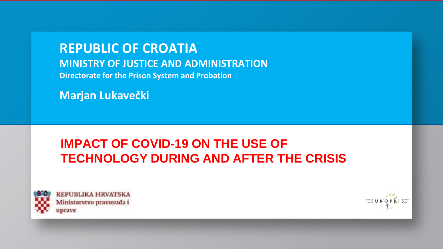**REPUBLIC OF CROATIA MINISTRY OF JUSTICE AND ADMINISTRATION Directorate for the Prison System and Probation**

**Marjan Lukavečki**

# **IMPACT OF COVID-19 ON THE USE OF TECHNOLOGY DURING AND AFTER THE CRISIS**



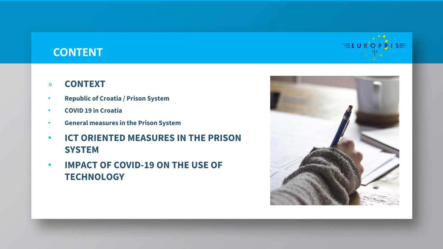## **CONTENT**

### » **CONTEXT**

- **Republic of Croatia / Prison System**
- **COVID 19 in Croatia**
- **General measures in the Prison System**
- **ICT ORIENTED MEASURES IN THE PRISON SYSTEM**
- **IMPACT OF COVID-19 ON THE USE OF TECHNOLOGY**



 $\equiv$ E U R'O P  $\tilde{R}$  I S $\equiv$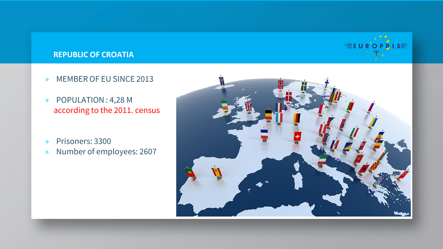# $\equiv$ E U R O P  $\hat{R}$  I S $\equiv$

#### **REPUBLIC OF CROATIA**

- » MEMBER OF EU SINCE 2013
- » POPULATION : 4,28 M according to the 2011. census
- » Prisoners: 3300
- » Number of employees: 2607

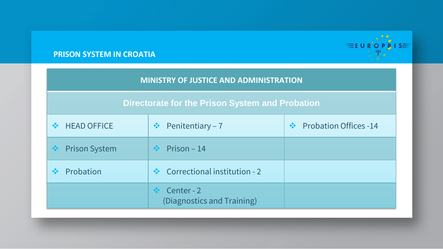

#### **PRISON SYSTEM IN CROATIA**

| <b>MINISTRY OF JUSTICE AND ADMINISTRATION</b>   |                                               |                                               |  |
|-------------------------------------------------|-----------------------------------------------|-----------------------------------------------|--|
| Directorate for the Prison System and Probation |                                               |                                               |  |
| <b>HEAD OFFICE</b><br>$\frac{1}{2}$             | Penitentiary - 7<br>察                         | <b>Probation Offices -14</b><br>$\frac{1}{2}$ |  |
| <b>Prison System</b><br>參                       | Prison $-14$<br>$\frac{1}{2}$                 |                                               |  |
| Probation                                       | Correctional institution - 2<br>$\frac{1}{2}$ |                                               |  |
|                                                 | Center - 2<br>(Diagnostics and Training)      |                                               |  |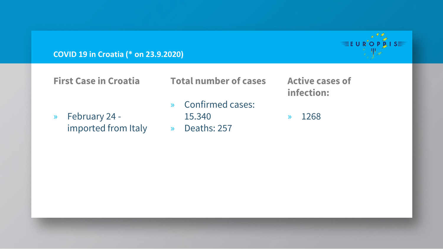**COVID 19 in Croatia (\* on 23.9.2020)**

**First Case in Croatia**

» February 24 imported from Italy » Deaths: 257

**Total number of cases**

- » Confirmed cases:
	- 15.340
- 

**Active cases of infection:**

» 1268

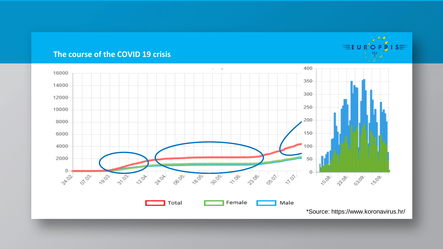#### **The course of the COVID 19 crisis**



 $\equiv$ EUR<sup>\*</sup>OPRIS $\equiv$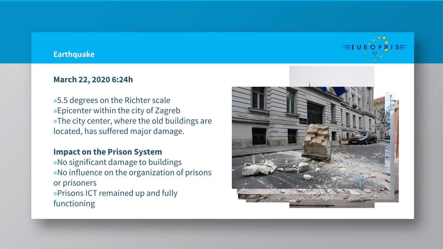#### **Earthquake**

#### **March 22, 2020 6:24h**

»5.5 degrees on the Richter scale »Epicenter within the city of Zagreb »The city center, where the old buildings are located, has suffered major damage.

#### **Impact on the Prison System**

»No significant damage to buildings »No influence on the organization of prisons or prisoners »Prisons ICT remained up and fully functioning



 $\equiv$ EUR<sup>"</sup>OPRIS $\equiv$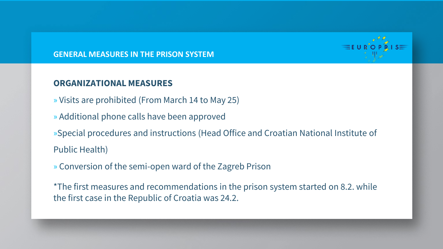

#### **GENERAL MEASURES IN THE PRISON SYSTEM**

#### **ORGANIZATIONAL MEASURES**

- » Visits are prohibited (From March 14 to May 25)
- » Additional phone calls have been approved

»Special procedures and instructions (Head Office and Croatian National Institute of Public Health)

» Conversion of the semi-open ward of the Zagreb Prison

\*The first measures and recommendations in the prison system started on 8.2. while the first case in the Republic of Croatia was 24.2.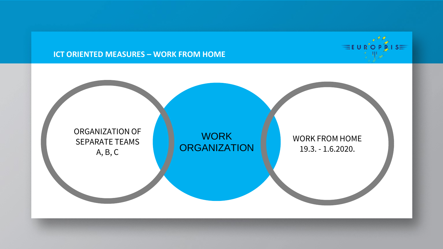

#### **ICT ORIENTED MEASURES – WORK FROM HOME**

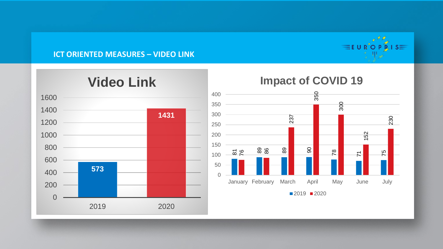

#### **ICT ORIENTED MEASURES – VIDEO LINK**



# **Video Link**

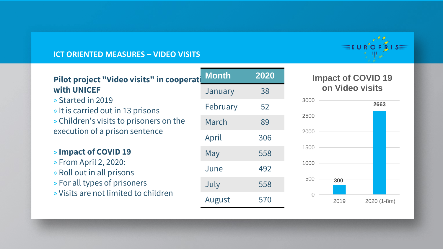

#### **ICT ORIENTED MEASURES – VIDEO VISITS**

| Pilot project "Video visits" in cooperat               | <b>Month</b> | 2020 |
|--------------------------------------------------------|--------------|------|
| <b>with UNICEF</b>                                     | January      | 38   |
| » Started in 2019<br>» It is carried out in 13 prisons | February     | 52   |
| » Children's visits to prisoners on the                | March        | 89   |
| execution of a prison sentence                         | April        | 306  |
| » Impact of COVID 19                                   | May          | 558  |
| » From April 2, 2020:<br>» Roll out in all prisons     | June         | 492  |
| » For all types of prisoners                           | July         | 558  |
| » Visits are not limited to children                   | August       | 570  |

#### **Impact of COVID 19 on Video visits**

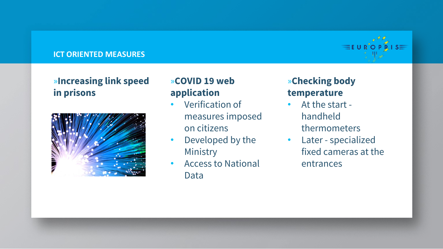#### **ICT ORIENTED MEASURES**

## »**Increasing link speed in prisons**



## »**COVID 19 web application**

- Verification of measures imposed on citizens
- Developed by the Ministry
- Access to National Data

# »**Checking body temperature**

- At the start handheld thermometers
- Later specialized fixed cameras at the entrances

 $\equiv$ E U R'O P  $R$  I S $\equiv$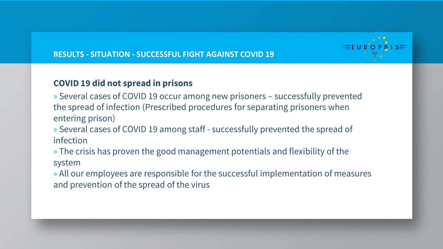

#### **RESULTS - SITUATION - SUCCESSFUL FIGHT AGAINST COVID 19**

## **COVID 19 did not spread in prisons**

» Several cases of COVID 19 occur among new prisoners – successfully prevented the spread of infection (Prescribed procedures for separating prisoners when entering prison)

» Several cases of COVID 19 among staff - successfully prevented the spread of infection

» The crisis has proven the good management potentials and flexibility of the system

» All our employees are responsible for the successful implementation of measures and prevention of the spread of the virus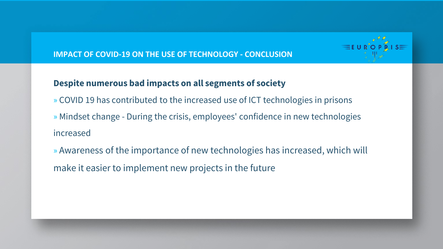# $\equiv$ EUR<sup>"</sup>OPRIS $\equiv$

#### **IMPACT OF COVID-19 ON THE USE OF TECHNOLOGY - CONCLUSION**

### **Despite numerous bad impacts on all segments of society**

- » COVID 19 has contributed to the increased use of ICT technologies in prisons » Mindset change - During the crisis, employees' confidence in new technologies increased
- » Awareness of the importance of new technologies has increased, which will make it easier to implement new projects in the future